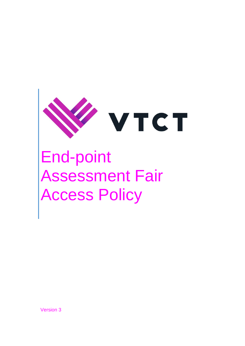

# End-point Assessment Fair Access Policy

Version 3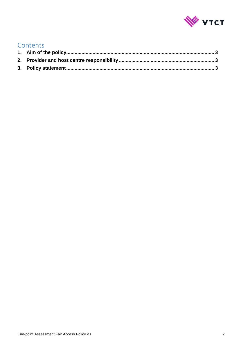

#### Contents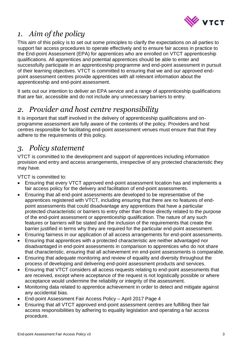

## <span id="page-2-0"></span>*1. Aim of the policy*

This aim of this policy is to set out some principles to clarify the expectations on all parties to support fair access procedures to operate effectively and to ensure fair access in practice to the End-point Assessment (EPA) for apprentices who are enrolled on VTCT apprenticeship qualifications. All apprentices and potential apprentices should be able to enter and successfully participate in an apprenticeship programme and end-point assessment in pursuit of their learning objectives. VTCT is committed to ensuring that we and our approved endpoint assessment centres provide apprentices with all relevant information about the apprenticeship and end-point assessment.

It sets out our intention to deliver an EPA service and a range of apprenticeship qualifications that are fair, accessible and do not include any unnecessary barriers to entry.

## <span id="page-2-1"></span>*2. Provider and host centre responsibility*

It is important that staff involved in the delivery of apprenticeship qualifications and onprogramme assessment are fully aware of the contents of the policy. Providers and host centres responsible for facilitating end-point assessment venues must ensure that that they adhere to the requirements of this policy.

## <span id="page-2-2"></span>*3. Policy statement*

VTCT is committed to the development and support of apprentices including information provision and entry and access arrangements, irrespective of any protected characteristic they may have.

VTCT is committed to:

- Ensuring that every VTCT approved end-point assessment location has and implements a fair access policy for the delivery and facilitation of end-point assessments.
- Ensuring that all end-point assessments are developed to be representative of the apprentices registered with VTCT, including ensuring that there are no features of endpoint assessments that could disadvantage any apprentices that have a particular protected characteristic or barriers to entry other than those directly related to the purpose of the end-point assessment or apprenticeship qualification. The nature of any such features or barriers will be stated and the inclusion of the requirements that create the barrier justified in terms why they are required for the particular end-point assessment.
- Ensuring fairness in our application of all access arrangements for end-point assessments.
- Ensuring that apprentices with a protected characteristic are neither advantaged nor disadvantaged in end-point assessments in comparison to apprentices who do not share that characteristic, ensuring that all achievement inn end-point assessments is comparable.
- Ensuring that adequate monitoring and review of equality and diversity throughout the process of developing and delivering end-point assessment products and services.
- Ensuring that VTCT considers all access requests relating to end-point assessments that are received, except where acceptance of the request is not logistically possible or where acceptance would undermine the reliability or integrity of the assessment.
- Monitoring data related to apprentice achievement in order to detect and mitigate against any accidental bias.
- End-point Assessment Fair Access Policy April 2017 Page 4
- Ensuring that all VTCT approved end-point assessment centres are fulfilling their fair access responsibilities by adhering to equality legislation and operating a fair access procedure.